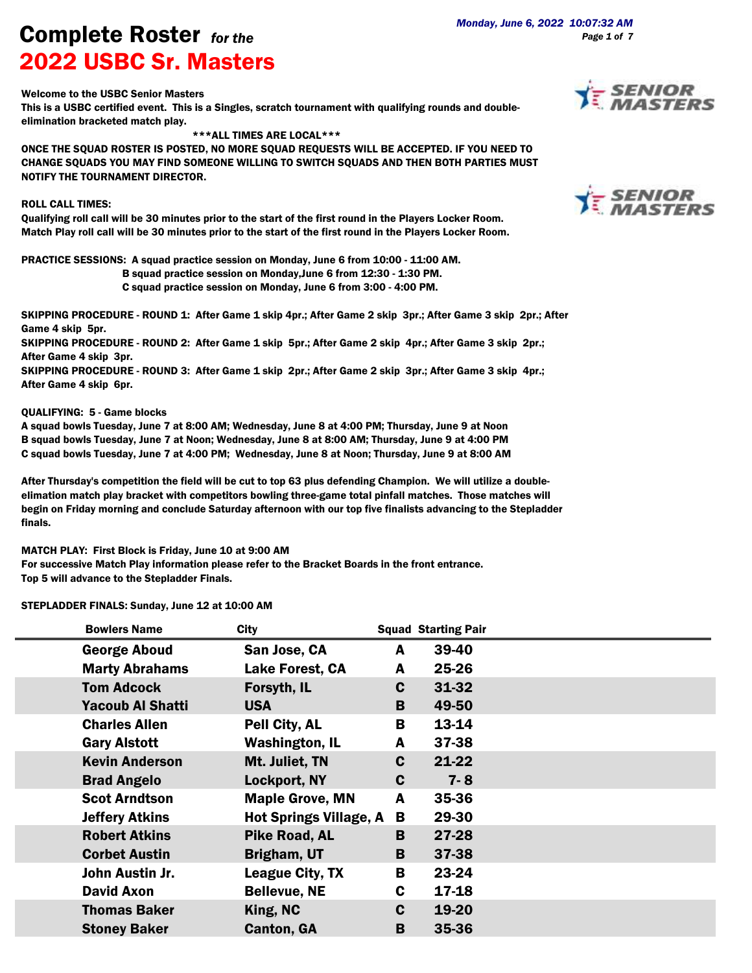Welcome to the USBC Senior Masters

This is a USBC certified event. This is a Singles, scratch tournament with qualifying rounds and doubleelimination bracketed match play.

\*\*\*ALL TIMES ARE LOCAL\*\*\*

ONCE THE SQUAD ROSTER IS POSTED, NO MORE SQUAD REQUESTS WILL BE ACCEPTED. IF YOU NEED TO CHANGE SQUADS YOU MAY FIND SOMEONE WILLING TO SWITCH SQUADS AND THEN BOTH PARTIES MUST NOTIFY THE TOURNAMENT DIRECTOR.

## ROLL CALL TIMES:

Qualifying roll call will be 30 minutes prior to the start of the first round in the Players Locker Room. Match Play roll call will be 30 minutes prior to the start of the first round in the Players Locker Room.

PRACTICE SESSIONS: A squad practice session on Monday, June 6 from 10:00 - 11:00 AM.

B squad practice session on Monday,June 6 from 12:30 - 1:30 PM.

C squad practice session on Monday, June 6 from 3:00 - 4:00 PM.

SKIPPING PROCEDURE - ROUND 1: After Game 1 skip 4pr.; After Game 2 skip 3pr.; After Game 3 skip 2pr.; After Game 4 skip 5pr.

SKIPPING PROCEDURE - ROUND 2: After Game 1 skip 5pr.; After Game 2 skip 4pr.; After Game 3 skip 2pr.; After Game 4 skip 3pr.

SKIPPING PROCEDURE - ROUND 3: After Game 1 skip 2pr.; After Game 2 skip 3pr.; After Game 3 skip 4pr.; After Game 4 skip 6pr.

## QUALIFYING: 5 - Game blocks

A squad bowls Tuesday, June 7 at 8:00 AM; Wednesday, June 8 at 4:00 PM; Thursday, June 9 at Noon B squad bowls Tuesday, June 7 at Noon; Wednesday, June 8 at 8:00 AM; Thursday, June 9 at 4:00 PM C squad bowls Tuesday, June 7 at 4:00 PM; Wednesday, June 8 at Noon; Thursday, June 9 at 8:00 AM

After Thursday's competition the field will be cut to top 63 plus defending Champion. We will utilize a doubleelimation match play bracket with competitors bowling three-game total pinfall matches. Those matches will begin on Friday morning and conclude Saturday afternoon with our top five finalists advancing to the Stepladder finals.

MATCH PLAY: First Block is Friday, June 10 at 9:00 AM

For successive Match Play information please refer to the Bracket Boards in the front entrance. Top 5 will advance to the Stepladder Finals.

STEPLADDER FINALS: Sunday, June 12 at 10:00 AM

| <b>Bowlers Name</b>     | <b>City</b>                   |   | <b>Squad Starting Pair</b> |  |
|-------------------------|-------------------------------|---|----------------------------|--|
| <b>George Aboud</b>     | San Jose, CA                  | A | 39-40                      |  |
| <b>Marty Abrahams</b>   | <b>Lake Forest, CA</b>        | A | 25-26                      |  |
| <b>Tom Adcock</b>       | Forsyth, IL                   | C | 31-32                      |  |
| <b>Yacoub Al Shatti</b> | <b>USA</b>                    | B | 49-50                      |  |
| <b>Charles Allen</b>    | Pell City, AL                 | B | 13-14                      |  |
| <b>Gary Alstott</b>     | <b>Washington, IL</b>         | A | 37-38                      |  |
| <b>Kevin Anderson</b>   | Mt. Juliet, TN                | C | 21-22                      |  |
| <b>Brad Angelo</b>      | <b>Lockport, NY</b>           | C | $7 - 8$                    |  |
| <b>Scot Arndtson</b>    | <b>Maple Grove, MN</b>        | A | 35-36                      |  |
| <b>Jeffery Atkins</b>   | <b>Hot Springs Village, A</b> | В | 29-30                      |  |
| <b>Robert Atkins</b>    | <b>Pike Road, AL</b>          | B | 27-28                      |  |
| <b>Corbet Austin</b>    | Brigham, UT                   | B | 37-38                      |  |
| John Austin Jr.         | League City, TX               | В | 23-24                      |  |
| <b>David Axon</b>       | <b>Bellevue, NE</b>           | C | 17-18                      |  |
| <b>Thomas Baker</b>     | King, NC                      | C | 19-20                      |  |
| <b>Stoney Baker</b>     | <b>Canton, GA</b>             | B | 35-36                      |  |





*Page 1 of 7*

**Complete Roster** *for the*<br><sup>*Monday, June 6, 2022 10:07:32 AM Page 1 of 7*</sup> 2022 USBC Sr. Masters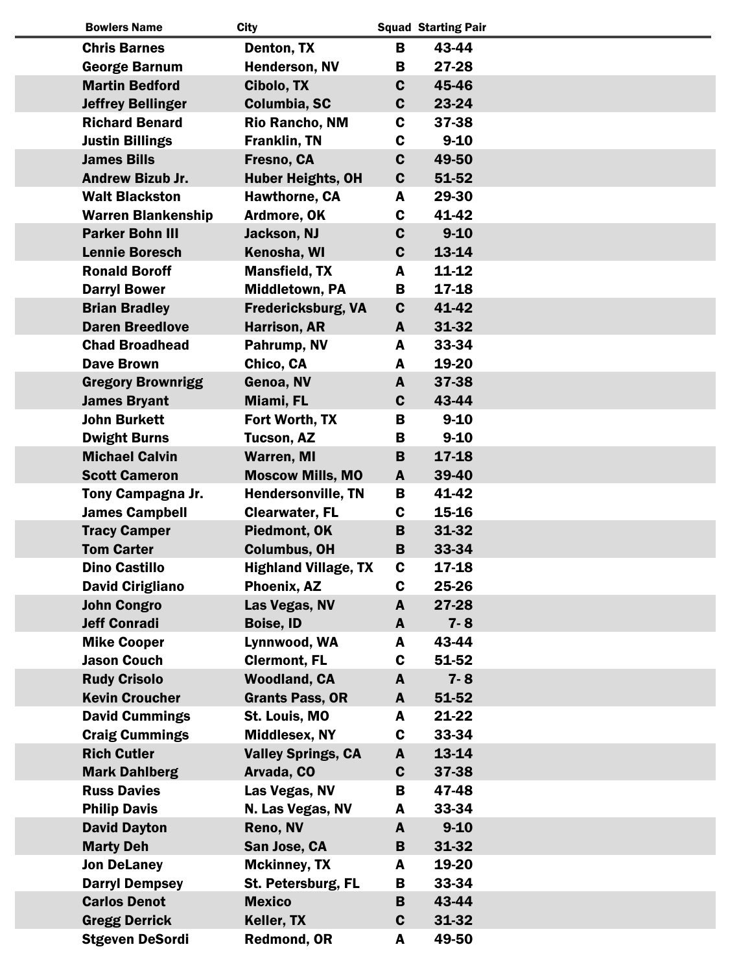| <b>Bowlers Name</b>       | <b>City</b>                 |             | <b>Squad Starting Pair</b> |  |
|---------------------------|-----------------------------|-------------|----------------------------|--|
| <b>Chris Barnes</b>       | Denton, TX                  | B           | 43-44                      |  |
| <b>George Barnum</b>      | <b>Henderson, NV</b>        | B           | 27-28                      |  |
| <b>Martin Bedford</b>     | Cibolo, TX                  | $\mathbf c$ | 45-46                      |  |
| <b>Jeffrey Bellinger</b>  | Columbia, SC                | $\mathbf c$ | 23-24                      |  |
| <b>Richard Benard</b>     | <b>Rio Rancho, NM</b>       | C           | 37-38                      |  |
| <b>Justin Billings</b>    | <b>Franklin, TN</b>         | C           | $9 - 10$                   |  |
| <b>James Bills</b>        | Fresno, CA                  | $\mathbf c$ | 49-50                      |  |
| <b>Andrew Bizub Jr.</b>   | <b>Huber Heights, OH</b>    | $\mathbf c$ | 51-52                      |  |
| <b>Walt Blackston</b>     | <b>Hawthorne, CA</b>        | A           | 29-30                      |  |
| <b>Warren Blankenship</b> | Ardmore, OK                 | C           | 41-42                      |  |
| <b>Parker Bohn III</b>    | Jackson, NJ                 | C           | $9 - 10$                   |  |
| <b>Lennie Boresch</b>     | Kenosha, WI                 | $\mathbf c$ | 13-14                      |  |
| <b>Ronald Boroff</b>      | <b>Mansfield, TX</b>        | A           | 11-12                      |  |
| <b>Darryl Bower</b>       | Middletown, PA              | B           | 17-18                      |  |
| <b>Brian Bradley</b>      | <b>Fredericksburg, VA</b>   | $\mathbf c$ | 41-42                      |  |
| <b>Daren Breedlove</b>    | <b>Harrison, AR</b>         | A           | 31-32                      |  |
| <b>Chad Broadhead</b>     | Pahrump, NV                 | A           | 33-34                      |  |
| <b>Dave Brown</b>         | Chico, CA                   | A           | 19-20                      |  |
| <b>Gregory Brownrigg</b>  | Genoa, NV                   | A           | 37-38                      |  |
| <b>James Bryant</b>       | Miami, FL                   | $\mathbf c$ | 43-44                      |  |
| <b>John Burkett</b>       | Fort Worth, TX              | B           | $9 - 10$                   |  |
| <b>Dwight Burns</b>       | <b>Tucson, AZ</b>           | B           | $9 - 10$                   |  |
| <b>Michael Calvin</b>     | <b>Warren, MI</b>           | B           | 17-18                      |  |
| <b>Scott Cameron</b>      | <b>Moscow Mills, MO</b>     | A           | 39-40                      |  |
| Tony Campagna Jr.         | <b>Hendersonville, TN</b>   | B           | 41-42                      |  |
| <b>James Campbell</b>     | <b>Clearwater, FL</b>       | C           | 15-16                      |  |
| <b>Tracy Camper</b>       | Piedmont, OK                | B           | 31-32                      |  |
| <b>Tom Carter</b>         | <b>Columbus, OH</b>         | B           | 33-34                      |  |
| <b>Dino Castillo</b>      | <b>Highland Village, TX</b> | C.          | 17-18                      |  |
| <b>David Cirigliano</b>   | Phoenix, AZ                 | C           | 25-26                      |  |
| <b>John Congro</b>        | Las Vegas, NV               | A           | 27-28                      |  |
| <b>Jeff Conradi</b>       | <b>Boise, ID</b>            | A           | $7 - 8$                    |  |
| <b>Mike Cooper</b>        | Lynnwood, WA                | A           | 43-44                      |  |
| <b>Jason Couch</b>        | <b>Clermont, FL</b>         | C           | 51-52                      |  |
| <b>Rudy Crisolo</b>       | <b>Woodland, CA</b>         | A           | $7 - 8$                    |  |
| <b>Kevin Croucher</b>     | <b>Grants Pass, OR</b>      | A           | 51-52                      |  |
| <b>David Cummings</b>     | St. Louis, MO               | A           | 21-22                      |  |
| <b>Craig Cummings</b>     | <b>Middlesex, NY</b>        | C           | 33-34                      |  |
| <b>Rich Cutler</b>        | <b>Valley Springs, CA</b>   | A           | 13-14                      |  |
| <b>Mark Dahlberg</b>      | Arvada, CO                  | $\mathbf c$ | 37-38                      |  |
| <b>Russ Davies</b>        | Las Vegas, NV               | В           | 47-48                      |  |
| <b>Philip Davis</b>       | N. Las Vegas, NV            | A           | 33-34                      |  |
| <b>David Dayton</b>       | Reno, NV                    | A           | $9 - 10$                   |  |
| <b>Marty Deh</b>          | San Jose, CA                | B           | 31-32                      |  |
| <b>Jon DeLaney</b>        | <b>Mckinney, TX</b>         | A           | 19-20                      |  |
| <b>Darryl Dempsey</b>     | St. Petersburg, FL          | В           | 33-34                      |  |
| <b>Carlos Denot</b>       | <b>Mexico</b>               | B           | 43-44                      |  |
| <b>Gregg Derrick</b>      | Keller, TX                  | C           | 31-32                      |  |
| <b>Stgeven DeSordi</b>    | Redmond, OR                 | A           | 49-50                      |  |

 $\overline{\phantom{a}}$ 

 $\overline{\phantom{a}}$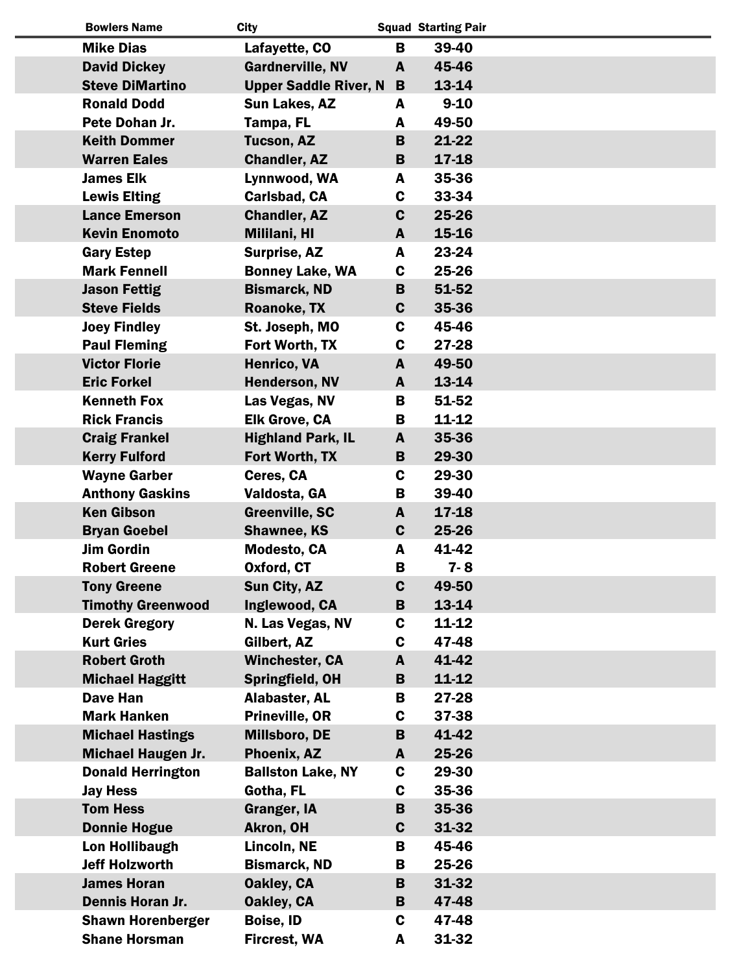| <b>Bowlers Name</b>       | <b>City</b>                  |             | <b>Squad Starting Pair</b> |
|---------------------------|------------------------------|-------------|----------------------------|
| <b>Mike Dias</b>          | Lafayette, CO                | B           | 39-40                      |
| <b>David Dickey</b>       | <b>Gardnerville, NV</b>      | A           | 45-46                      |
| <b>Steve DiMartino</b>    | <b>Upper Saddle River, N</b> | B           | 13-14                      |
| <b>Ronald Dodd</b>        | <b>Sun Lakes, AZ</b>         | A           | $9 - 10$                   |
| Pete Dohan Jr.            | Tampa, FL                    | A           | 49-50                      |
| <b>Keith Dommer</b>       | <b>Tucson, AZ</b>            | B           | $21 - 22$                  |
| <b>Warren Eales</b>       | <b>Chandler, AZ</b>          | B           | $17 - 18$                  |
| <b>James Elk</b>          | Lynnwood, WA                 | A           | 35-36                      |
| <b>Lewis Elting</b>       | Carlsbad, CA                 | C           | 33-34                      |
| <b>Lance Emerson</b>      | <b>Chandler, AZ</b>          | $\mathbf c$ | 25-26                      |
| <b>Kevin Enomoto</b>      | Mililani, HI                 | A           | 15-16                      |
| <b>Gary Estep</b>         | Surprise, AZ                 | A           | 23-24                      |
| <b>Mark Fennell</b>       | <b>Bonney Lake, WA</b>       | C           | 25-26                      |
| <b>Jason Fettig</b>       | <b>Bismarck, ND</b>          | B           | 51-52                      |
| <b>Steve Fields</b>       | <b>Roanoke, TX</b>           | C           | 35-36                      |
| <b>Joey Findley</b>       | St. Joseph, MO               | $\mathbf c$ | 45-46                      |
| <b>Paul Fleming</b>       | Fort Worth, TX               | C           | 27-28                      |
| <b>Victor Florie</b>      | Henrico, VA                  | A           | 49-50                      |
| <b>Eric Forkel</b>        | <b>Henderson, NV</b>         | A           | 13-14                      |
| <b>Kenneth Fox</b>        | Las Vegas, NV                | В           | 51-52                      |
| <b>Rick Francis</b>       | <b>Elk Grove, CA</b>         | В           | $11 - 12$                  |
| <b>Craig Frankel</b>      | <b>Highland Park, IL</b>     | A           | 35-36                      |
| <b>Kerry Fulford</b>      | Fort Worth, TX               | B           | 29-30                      |
| <b>Wayne Garber</b>       | Ceres, CA                    | C           | 29-30                      |
| <b>Anthony Gaskins</b>    | Valdosta, GA                 | В           | 39-40                      |
| <b>Ken Gibson</b>         | <b>Greenville, SC</b>        | A           | $17 - 18$                  |
| <b>Bryan Goebel</b>       | <b>Shawnee, KS</b>           | $\mathbf c$ | 25-26                      |
| <b>Jim Gordin</b>         | <b>Modesto, CA</b>           | A           | 41-42                      |
| <b>Robert Greene</b>      | Oxford, CT                   | В           | $7 - 8$                    |
| <b>Tony Greene</b>        | <b>Sun City, AZ</b>          | $\mathbf c$ | 49-50                      |
| <b>Timothy Greenwood</b>  | Inglewood, CA                | B           | 13-14                      |
| <b>Derek Gregory</b>      | N. Las Vegas, NV             | C           | 11-12                      |
| <b>Kurt Gries</b>         | Gilbert, AZ                  | C           | 47-48                      |
| <b>Robert Groth</b>       | <b>Winchester, CA</b>        | A           | 41-42                      |
| <b>Michael Haggitt</b>    | Springfield, OH              | B           | 11-12                      |
| <b>Dave Han</b>           | Alabaster, AL                | В           | 27-28                      |
| <b>Mark Hanken</b>        | Prineville, OR               | C           | 37-38                      |
| <b>Michael Hastings</b>   | Millsboro, DE                | B           | 41-42                      |
| <b>Michael Haugen Jr.</b> | Phoenix, AZ                  | A           | 25-26                      |
| <b>Donald Herrington</b>  | <b>Ballston Lake, NY</b>     | C           | 29-30                      |
| <b>Jay Hess</b>           | Gotha, FL                    | C           | 35-36                      |
| <b>Tom Hess</b>           | <b>Granger, IA</b>           | B           | 35-36                      |
| <b>Donnie Hogue</b>       | <b>Akron, OH</b>             | $\mathbf c$ | 31-32                      |
| <b>Lon Hollibaugh</b>     | Lincoln, NE                  | В           | 45-46                      |
| <b>Jeff Holzworth</b>     | <b>Bismarck, ND</b>          | В           | 25-26                      |
| <b>James Horan</b>        | <b>Oakley, CA</b>            | B           | 31-32                      |
| Dennis Horan Jr.          | Oakley, CA                   | B           | 47-48                      |
| <b>Shawn Horenberger</b>  | <b>Boise, ID</b>             | C           | 47-48                      |
| <b>Shane Horsman</b>      | <b>Fircrest, WA</b>          | A           | 31-32                      |

 $\overline{a}$ 

I  $\overline{\phantom{a}}$ 

I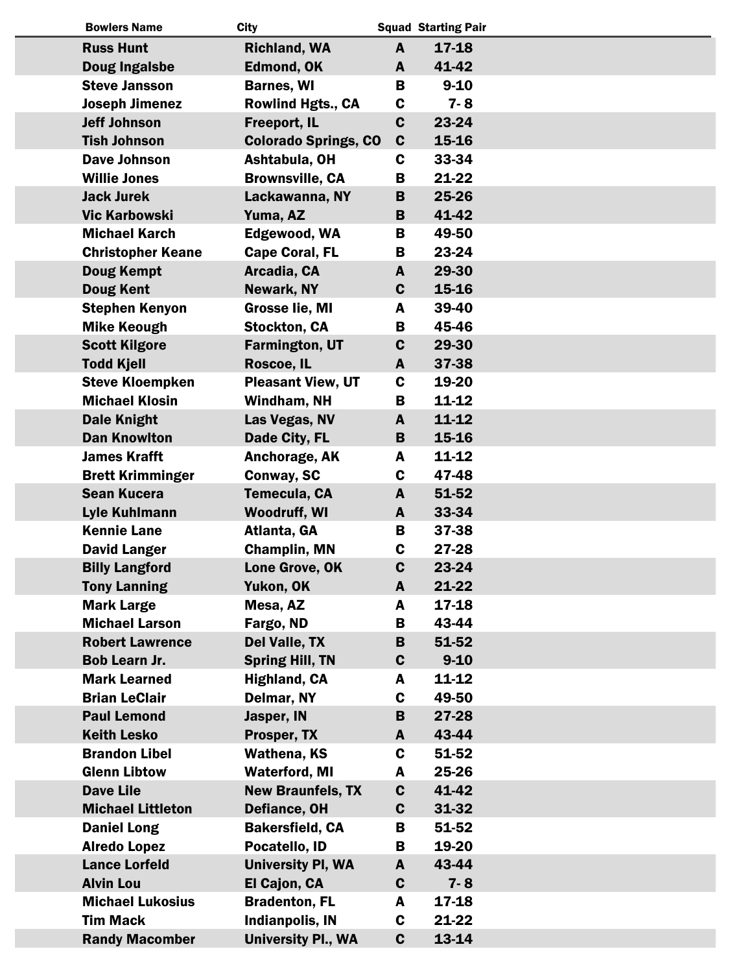| <b>Bowlers Name</b>      | <b>City</b>                 |              | <b>Squad Starting Pair</b> |  |
|--------------------------|-----------------------------|--------------|----------------------------|--|
| <b>Russ Hunt</b>         | <b>Richland, WA</b>         | A            | 17-18                      |  |
| Doug Ingalsbe            | <b>Edmond, OK</b>           | A            | 41-42                      |  |
| <b>Steve Jansson</b>     | <b>Barnes, WI</b>           | B            | $9 - 10$                   |  |
| <b>Joseph Jimenez</b>    | <b>Rowlind Hgts., CA</b>    | C            | $7 - 8$                    |  |
| <b>Jeff Johnson</b>      | Freeport, IL                | $\mathbf c$  | 23-24                      |  |
| <b>Tish Johnson</b>      | <b>Colorado Springs, CO</b> | $\mathbf c$  | 15-16                      |  |
| <b>Dave Johnson</b>      | Ashtabula, OH               | C            | 33-34                      |  |
| <b>Willie Jones</b>      | <b>Brownsville, CA</b>      | В            | 21-22                      |  |
| <b>Jack Jurek</b>        | Lackawanna, NY              | B            | 25-26                      |  |
| <b>Vic Karbowski</b>     | Yuma, AZ                    | B            | 41-42                      |  |
| <b>Michael Karch</b>     | Edgewood, WA                | B            | 49-50                      |  |
| <b>Christopher Keane</b> | <b>Cape Coral, FL</b>       | B            | 23-24                      |  |
| <b>Doug Kempt</b>        | Arcadia, CA                 | A            | 29-30                      |  |
| <b>Doug Kent</b>         | Newark, NY                  | $\mathbf{C}$ | 15-16                      |  |
| <b>Stephen Kenyon</b>    | <b>Grosse lie, MI</b>       | A            | 39-40                      |  |
| <b>Mike Keough</b>       | <b>Stockton, CA</b>         | B            | 45-46                      |  |
| <b>Scott Kilgore</b>     | <b>Farmington, UT</b>       | $\mathbf c$  | 29-30                      |  |
| <b>Todd Kjell</b>        | Roscoe, IL                  | A            | 37-38                      |  |
| <b>Steve Kloempken</b>   | <b>Pleasant View, UT</b>    | C            | 19-20                      |  |
| <b>Michael Klosin</b>    | Windham, NH                 | B            | 11-12                      |  |
| <b>Dale Knight</b>       | Las Vegas, NV               | A            | 11-12                      |  |
| <b>Dan Knowlton</b>      | Dade City, FL               | B            | 15-16                      |  |
| <b>James Krafft</b>      | Anchorage, AK               | A            | 11-12                      |  |
| <b>Brett Krimminger</b>  | <b>Conway, SC</b>           | $\mathbf c$  | 47-48                      |  |
| <b>Sean Kucera</b>       | Temecula, CA                | A            | 51-52                      |  |
| Lyle Kuhlmann            | <b>Woodruff, WI</b>         | A            | 33-34                      |  |
| <b>Kennie Lane</b>       | Atlanta, GA                 | B            | 37-38                      |  |
| <b>David Langer</b>      | <b>Champlin, MN</b>         | $\mathbf c$  | 27-28                      |  |
| <b>Billy Langford</b>    | Lone Grove, OK              | C.           | 23-24                      |  |
| <b>Tony Lanning</b>      | Yukon, OK                   | A            | 21-22                      |  |
| <b>Mark Large</b>        | Mesa, AZ                    | A            | 17-18                      |  |
| <b>Michael Larson</b>    | Fargo, ND                   | B            | 43-44                      |  |
| <b>Robert Lawrence</b>   | Del Valle, TX               | B            | 51-52                      |  |
| Bob Learn Jr.            | <b>Spring Hill, TN</b>      | $\mathbf c$  | $9 - 10$                   |  |
| <b>Mark Learned</b>      | <b>Highland, CA</b>         | A            | 11-12                      |  |
| <b>Brian LeClair</b>     | Delmar, NY                  | C            | 49-50                      |  |
| <b>Paul Lemond</b>       | Jasper, IN                  | B            | 27-28                      |  |
| <b>Keith Lesko</b>       | Prosper, TX                 | A            | 43-44                      |  |
| <b>Brandon Libel</b>     | <b>Wathena, KS</b>          | C            | 51-52                      |  |
| <b>Glenn Libtow</b>      | <b>Waterford, MI</b>        | A            | 25-26                      |  |
| <b>Dave Lile</b>         | <b>New Braunfels, TX</b>    | $\mathbf c$  | 41-42                      |  |
| <b>Michael Littleton</b> | Defiance, OH                | $\mathbf c$  | 31-32                      |  |
| <b>Daniel Long</b>       | <b>Bakersfield, CA</b>      | B            | 51-52                      |  |
| <b>Alredo Lopez</b>      | Pocatello, ID               | В            | 19-20                      |  |
| <b>Lance Lorfeld</b>     | <b>University PI, WA</b>    | A            | 43-44                      |  |
| <b>Alvin Lou</b>         | El Cajon, CA                | $\mathbf c$  | $7 - 8$                    |  |
| <b>Michael Lukosius</b>  | <b>Bradenton, FL</b>        | A            | 17-18                      |  |
| <b>Tim Mack</b>          | <b>Indianpolis, IN</b>      | C            | 21-22                      |  |
| <b>Randy Macomber</b>    | <b>University Pl., WA</b>   | $\mathbf c$  | 13-14                      |  |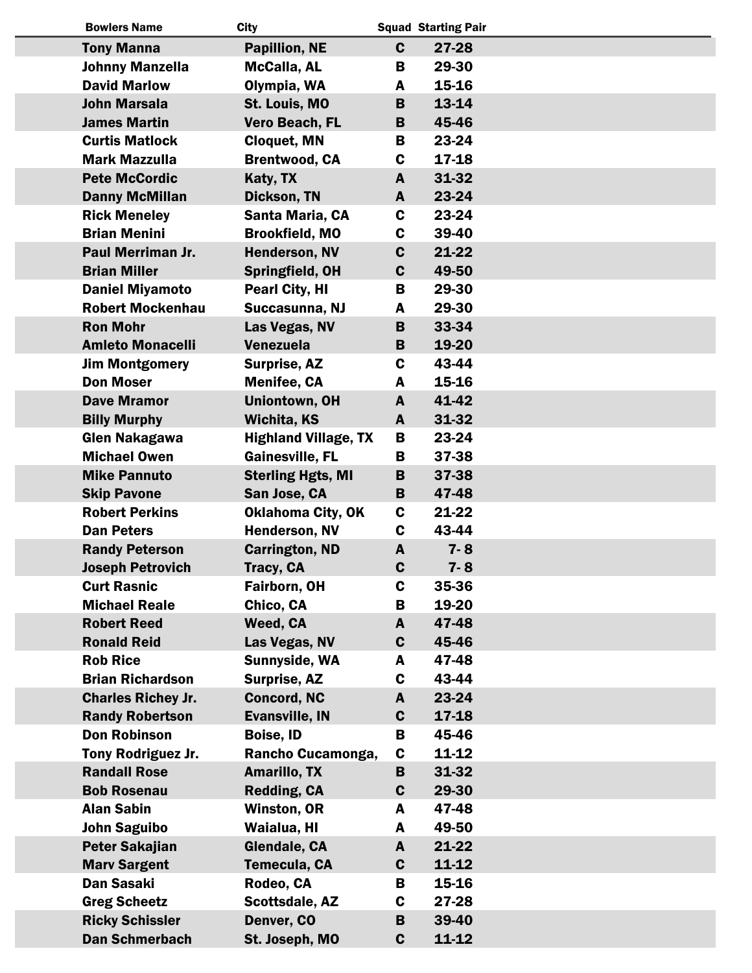| <b>Bowlers Name</b>       | <b>City</b>                 |              | <b>Squad Starting Pair</b> |  |
|---------------------------|-----------------------------|--------------|----------------------------|--|
| <b>Tony Manna</b>         | <b>Papillion, NE</b>        | $\mathbf{C}$ | 27-28                      |  |
| <b>Johnny Manzella</b>    | <b>McCalla, AL</b>          | B            | 29-30                      |  |
| <b>David Marlow</b>       | Olympia, WA                 | A            | 15-16                      |  |
| <b>John Marsala</b>       | St. Louis, MO               | B            | 13-14                      |  |
| <b>James Martin</b>       | Vero Beach, FL              | B            | 45-46                      |  |
| <b>Curtis Matlock</b>     | <b>Cloquet, MN</b>          | B            | 23-24                      |  |
| <b>Mark Mazzulla</b>      | <b>Brentwood, CA</b>        | C            | 17-18                      |  |
| <b>Pete McCordic</b>      | Katy, TX                    | A            | 31-32                      |  |
| <b>Danny McMillan</b>     | Dickson, TN                 | A            | 23-24                      |  |
| <b>Rick Meneley</b>       | Santa Maria, CA             | C            | 23-24                      |  |
| <b>Brian Menini</b>       | <b>Brookfield, MO</b>       | C            | 39-40                      |  |
| <b>Paul Merriman Jr.</b>  | <b>Henderson, NV</b>        | $\mathbf c$  | 21-22                      |  |
| <b>Brian Miller</b>       | Springfield, OH             | $\mathbf c$  | 49-50                      |  |
| <b>Daniel Miyamoto</b>    | <b>Pearl City, HI</b>       | B            | 29-30                      |  |
| <b>Robert Mockenhau</b>   | Succasunna, NJ              | A            | 29-30                      |  |
| <b>Ron Mohr</b>           | Las Vegas, NV               | B            | 33-34                      |  |
| <b>Amleto Monacelli</b>   | <b>Venezuela</b>            | B            | 19-20                      |  |
| <b>Jim Montgomery</b>     | Surprise, AZ                | C            | 43-44                      |  |
| <b>Don Moser</b>          | <b>Menifee, CA</b>          | A            | 15-16                      |  |
| <b>Dave Mramor</b>        | <b>Uniontown, OH</b>        | A            | 41-42                      |  |
| <b>Billy Murphy</b>       | <b>Wichita, KS</b>          | A            | 31-32                      |  |
| <b>Glen Nakagawa</b>      | <b>Highland Village, TX</b> | В            | 23-24                      |  |
| <b>Michael Owen</b>       | <b>Gainesville, FL</b>      | В            | 37-38                      |  |
| <b>Mike Pannuto</b>       | <b>Sterling Hgts, MI</b>    | B            | 37-38                      |  |
| <b>Skip Pavone</b>        | San Jose, CA                | B            | 47-48                      |  |
| <b>Robert Perkins</b>     | <b>Oklahoma City, OK</b>    | C            | 21-22                      |  |
| <b>Dan Peters</b>         | Henderson, NV               | C            | 43-44                      |  |
| <b>Randy Peterson</b>     | <b>Carrington, ND</b>       | A            | $7 - 8$                    |  |
| <b>Joseph Petrovich</b>   | Tracy, CA                   | C            | $7 - 8$                    |  |
| <b>Curt Rasnic</b>        | Fairborn, OH                | C            | 35-36                      |  |
| <b>Michael Reale</b>      | Chico, CA                   | В            | 19-20                      |  |
| <b>Robert Reed</b>        | Weed, CA                    | A            | 47-48                      |  |
| <b>Ronald Reid</b>        | Las Vegas, NV               | $\mathbf c$  | 45-46                      |  |
| <b>Rob Rice</b>           | Sunnyside, WA               | A            | 47-48                      |  |
| <b>Brian Richardson</b>   | Surprise, AZ                | C            | 43-44                      |  |
| <b>Charles Richey Jr.</b> | <b>Concord, NC</b>          | A            | 23-24                      |  |
| <b>Randy Robertson</b>    | <b>Evansville, IN</b>       | $\mathbf c$  | 17-18                      |  |
| <b>Don Robinson</b>       | <b>Boise, ID</b>            | B            | 45-46                      |  |
| Tony Rodriguez Jr.        | Rancho Cucamonga,           | C            | 11-12                      |  |
| <b>Randall Rose</b>       | <b>Amarillo, TX</b>         | B            | 31-32                      |  |
| <b>Bob Rosenau</b>        | Redding, CA                 | $\mathbf c$  | 29-30                      |  |
| <b>Alan Sabin</b>         | <b>Winston, OR</b>          | A            | 47-48                      |  |
| <b>John Saguibo</b>       | Waialua, HI                 | A            | 49-50                      |  |
| <b>Peter Sakajian</b>     | Glendale, CA                | A            | 21-22                      |  |
| <b>Marv Sargent</b>       | Temecula, CA                | $\mathbf c$  | 11-12                      |  |
| Dan Sasaki                | Rodeo, CA                   | В            | 15-16                      |  |
| <b>Greg Scheetz</b>       | Scottsdale, AZ              | C            | 27-28                      |  |
| <b>Ricky Schissler</b>    | Denver, CO                  | B            | 39-40                      |  |
| Dan Schmerbach            | St. Joseph, MO              | $\mathbf c$  | 11-12                      |  |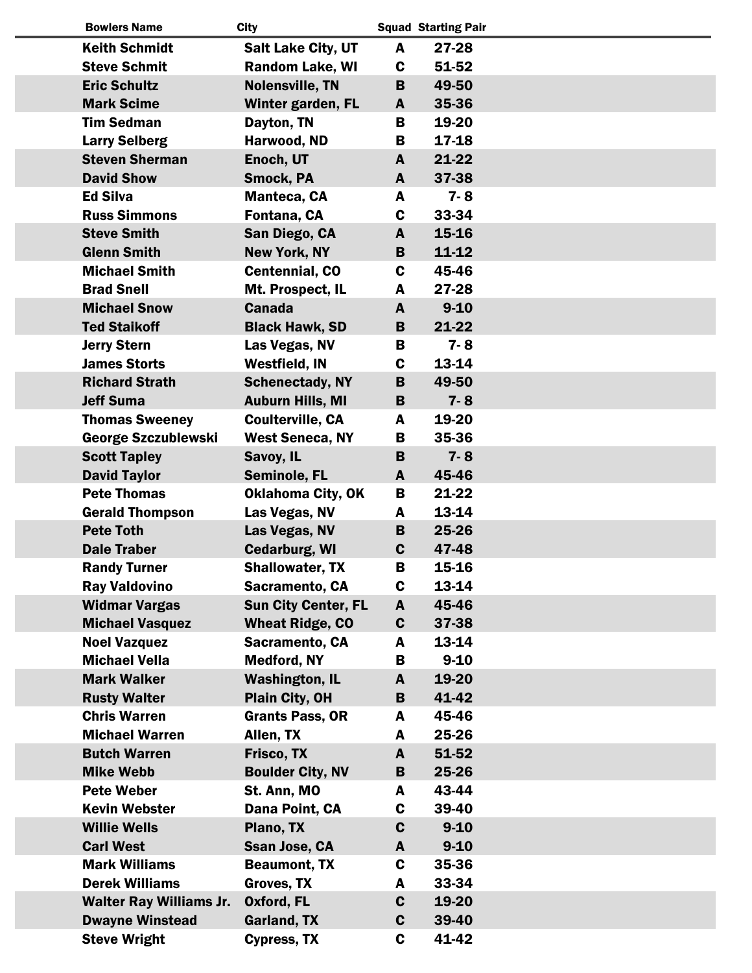| <b>Bowlers Name</b>                                 | <b>City</b>                                       |              | <b>Squad Starting Pair</b> |  |
|-----------------------------------------------------|---------------------------------------------------|--------------|----------------------------|--|
| <b>Keith Schmidt</b>                                | <b>Salt Lake City, UT</b>                         | A            | 27-28                      |  |
| <b>Steve Schmit</b>                                 | <b>Random Lake, WI</b>                            | C            | 51-52                      |  |
| <b>Eric Schultz</b>                                 | <b>Nolensville, TN</b>                            | B            | 49-50                      |  |
| <b>Mark Scime</b>                                   | Winter garden, FL                                 | A            | 35-36                      |  |
| <b>Tim Sedman</b>                                   | Dayton, TN                                        | B            | 19-20                      |  |
| <b>Larry Selberg</b>                                | Harwood, ND                                       | B            | 17-18                      |  |
| <b>Steven Sherman</b>                               | Enoch, UT                                         | A            | 21-22                      |  |
| <b>David Show</b>                                   | Smock, PA                                         | A            | 37-38                      |  |
| <b>Ed Silva</b>                                     | Manteca, CA                                       | A            | $7 - 8$                    |  |
| <b>Russ Simmons</b>                                 | Fontana, CA                                       | C            | 33-34                      |  |
| <b>Steve Smith</b>                                  | San Diego, CA                                     | A            | 15-16                      |  |
| <b>Glenn Smith</b>                                  | <b>New York, NY</b>                               | B            | $11 - 12$                  |  |
| <b>Michael Smith</b>                                | <b>Centennial, CO</b>                             | C            | 45-46                      |  |
| <b>Brad Snell</b>                                   | Mt. Prospect, IL                                  | A            | 27-28                      |  |
| <b>Michael Snow</b>                                 | <b>Canada</b>                                     | A            | $9 - 10$                   |  |
| <b>Ted Staikoff</b>                                 | <b>Black Hawk, SD</b>                             | B            | 21-22                      |  |
| <b>Jerry Stern</b>                                  | Las Vegas, NV                                     | B            | $7 - 8$                    |  |
| <b>James Storts</b>                                 | Westfield, IN                                     | C            | 13-14                      |  |
| <b>Richard Strath</b><br><b>Jeff Suma</b>           | <b>Schenectady, NY</b>                            | B<br>B       | 49-50<br>$7 - 8$           |  |
|                                                     | <b>Auburn Hills, MI</b>                           |              | 19-20                      |  |
| <b>Thomas Sweeney</b><br><b>George Szczublewski</b> | <b>Coulterville, CA</b><br><b>West Seneca, NY</b> | A<br>B       | 35-36                      |  |
| <b>Scott Tapley</b>                                 | Savoy, IL                                         | B            | $7 - 8$                    |  |
| <b>David Taylor</b>                                 | Seminole, FL                                      | A            | 45-46                      |  |
| <b>Pete Thomas</b>                                  | <b>Oklahoma City, OK</b>                          | B            | 21-22                      |  |
| <b>Gerald Thompson</b>                              | Las Vegas, NV                                     | A            | 13-14                      |  |
| <b>Pete Toth</b>                                    | Las Vegas, NV                                     | B            | 25-26                      |  |
| <b>Dale Traber</b>                                  | <b>Cedarburg, WI</b>                              | C            | 47-48                      |  |
| <b>Randy Turner</b>                                 | <b>Shallowater, TX</b>                            | B            | 15-16                      |  |
| <b>Ray Valdovino</b>                                | Sacramento, CA                                    | C            | 13-14                      |  |
| <b>Widmar Vargas</b>                                | <b>Sun City Center, FL</b>                        | A            | 45-46                      |  |
| <b>Michael Vasquez</b>                              | <b>Wheat Ridge, CO</b>                            | C            | 37-38                      |  |
| <b>Noel Vazquez</b>                                 | Sacramento, CA                                    | A            | 13-14                      |  |
| <b>Michael Vella</b>                                | <b>Medford, NY</b>                                | В            | $9 - 10$                   |  |
| <b>Mark Walker</b>                                  | <b>Washington, IL</b>                             | A            | 19-20                      |  |
| <b>Rusty Walter</b>                                 | Plain City, OH                                    | B            | 41-42                      |  |
| <b>Chris Warren</b>                                 | <b>Grants Pass, OR</b>                            | A            | 45-46                      |  |
| <b>Michael Warren</b>                               | Allen, TX                                         | A            | 25-26                      |  |
| <b>Butch Warren</b>                                 | Frisco, TX                                        | A            | 51-52                      |  |
| <b>Mike Webb</b>                                    | <b>Boulder City, NV</b>                           | B            | 25-26                      |  |
| <b>Pete Weber</b>                                   | St. Ann, MO                                       | A            | 43-44                      |  |
| <b>Kevin Webster</b>                                | Dana Point, CA                                    | C            | 39-40                      |  |
| <b>Willie Wells</b>                                 | Plano, TX                                         | $\mathbf{C}$ | $9 - 10$                   |  |
| <b>Carl West</b>                                    | Ssan Jose, CA                                     | A            | $9 - 10$                   |  |
| <b>Mark Williams</b>                                | <b>Beaumont, TX</b>                               | C            | 35-36                      |  |
| <b>Derek Williams</b>                               | <b>Groves, TX</b>                                 | A            | 33-34                      |  |
| <b>Walter Ray Williams Jr.</b>                      | Oxford, FL                                        | $\mathbf c$  | 19-20                      |  |
| <b>Dwayne Winstead</b>                              | Garland, TX                                       | $\mathbf c$  | 39-40                      |  |
| <b>Steve Wright</b>                                 | Cypress, TX                                       | C            | 41-42                      |  |